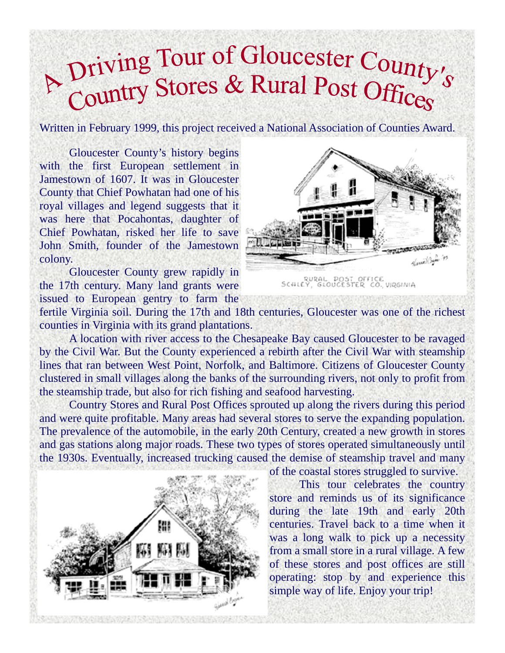# A Driving Tour of Gloucester County's<br>Country Stores & Rural Post Offices

Written in February 1999, this project received a National Association of Counties Award.

 Gloucester County's history begins with the first European settlement in Jamestown of 1607. It was in Gloucester County that Chief Powhatan had one of his royal villages and legend suggests that it was here that Pocahontas, daughter of Chief Powhatan, risked her life to save John Smith, founder of the Jamestown colony.

 Gloucester County grew rapidly in the 17th century. Many land grants were issued to European gentry to farm the



fertile Virginia soil. During the 17th and 18th centuries, Gloucester was one of the richest counties in Virginia with its grand plantations.

 A location with river access to the Chesapeake Bay caused Gloucester to be ravaged by the Civil War. But the County experienced a rebirth after the Civil War with steamship lines that ran between West Point, Norfolk, and Baltimore. Citizens of Gloucester County clustered in small villages along the banks of the surrounding rivers, not only to profit from the steamship trade, but also for rich fishing and seafood harvesting.

 Country Stores and Rural Post Offices sprouted up along the rivers during this period and were quite profitable. Many areas had several stores to serve the expanding population. The prevalence of the automobile, in the early 20th Century, created a new growth in stores and gas stations along major roads. These two types of stores operated simultaneously until the 1930s. Eventually, increased trucking caused the demise of steamship travel and many



of the coastal stores struggled to survive.

 This tour celebrates the country store and reminds us of its significance during the late 19th and early 20th centuries. Travel back to a time when it was a long walk to pick up a necessity from a small store in a rural village. A few of these stores and post offices are still operating: stop by and experience this simple way of life. Enjoy your trip!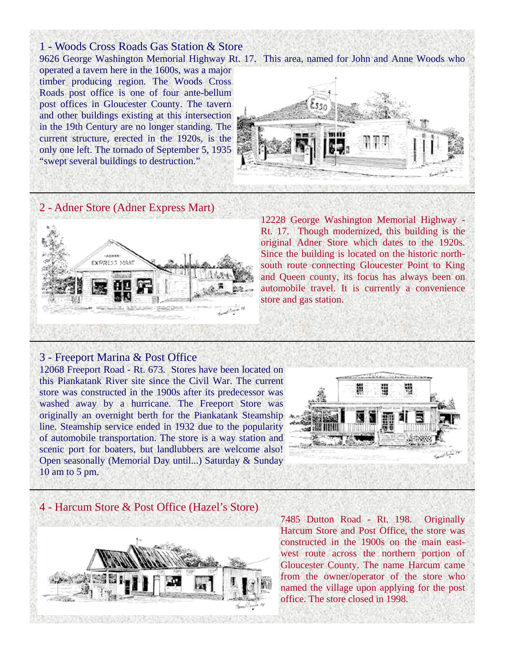1 - Woods Cross Roads Gas Station & Store operated a tavern here in the 1600s, was a major timber producing region. The Woods Cross Roads post office is one of four ante-bellum post offices in Gloucester County. The tavern and other buildings existing at this intersection in the 19th Century are no longer standing. The current structure, erected in the 1920s, is the only one left. The tornado of September 5, 1935 "swept several buildings to destruction."

9626 George Washington Memorial Highway Rt. 17. This area, named for John and Anne Woods who



### 2 - Adner Store (Adner Express Mart)



12228 George Washington Memorial Highway - Rt. 17. Though modernized, this building is the original Adner Store which dates to the 1920s. Since the building is located on the historic northsouth route connecting Gloucester Point to King and Queen county, its focus has always been on automobile travel. It is currently a convenience store and gas station.

#### 3 - Freeport Marina & Post Office

12068 Freeport Road - Rt. 673. Stores have been located on this Piankatank River site since the Civil War. The current store was constructed in the 1900s after its predecessor was washed away by a hurricane. The Freeport Store was originally an overnight berth for the Piankatank Steamship line. Steamship service ended in 1932 due to the popularity of automobile transportation. The store is a way station and scenic port for boaters, but landlubbers are welcome also! Open seasonally (Memorial Day until...) Saturday & Sunday 10 am to 5 pm.



#### 4 - Harcum Store & Post Office (Hazel's Store)



7485 Dutton Road - Rt. 198. Originally Harcum Store and Post Office, the store was constructed in the 1900s on the main eastwest route across the northern portion of Gloucester County. The name Harcum came from the owner/operator of the store who named the village upon applying for the post office. The store closed in 1998.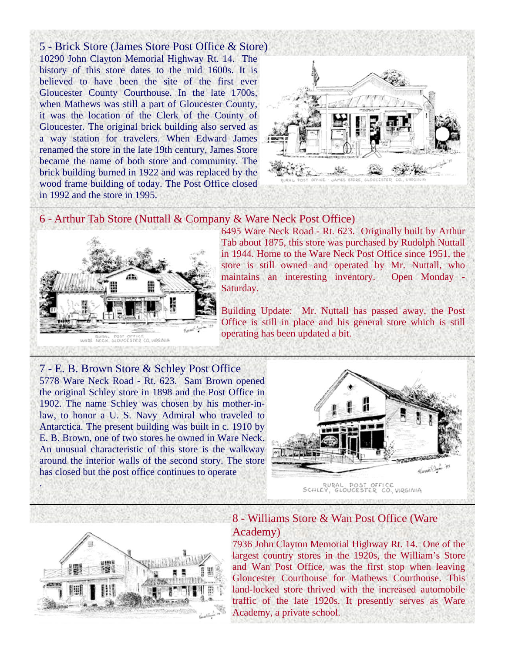5 - Brick Store (James Store Post Office & Store) 10290 John Clayton Memorial Highway Rt. 14. The history of this store dates to the mid 1600s. It is believed to have been the site of the first ever Gloucester County Courthouse. In the late 1700s, when Mathews was still a part of Gloucester County, it was the location of the Clerk of the County of Gloucester. The original brick building also served as a way station for travelers. When Edward James renamed the store in the late 19th century, James Store became the name of both store and community. The brick building burned in 1922 and was replaced by the wood frame building of today. The Post Office closed in 1992 and the store in 1995.



#### 6 - Arthur Tab Store (Nuttall & Company & Ware Neck Post Office)



6495 Ware Neck Road - Rt. 623. Originally built by Arthur Tab about 1875, this store was purchased by Rudolph Nuttall in 1944. Home to the Ware Neck Post Office since 1951, the store is still owned and operated by Mr. Nuttall, who maintains an interesting inventory. Open Monday - Saturday.

Building Update: Mr. Nuttall has passed away, the Post Office is still in place and his general store which is still operating has been updated a bit.

#### 7 - E. B. Brown Store & Schley Post Office

5778 Ware Neck Road - Rt. 623. Sam Brown opened the original Schley store in 1898 and the Post Office in 1902. The name Schley was chosen by his mother-inlaw, to honor a U. S. Navy Admiral who traveled to Antarctica. The present building was built in c. 1910 by E. B. Brown, one of two stores he owned in Ware Neck. An unusual characteristic of this store is the walkway around the interior walls of the second story. The store has closed but the post office continues to operate





.

# 8 - Williams Store & Wan Post Office (Ware Academy)

7936 John Clayton Memorial Highway Rt. 14. One of the largest country stores in the 1920s, the William's Store and Wan Post Office, was the first stop when leaving Gloucester Courthouse for Mathews Courthouse. This land-locked store thrived with the increased automobile traffic of the late 1920s. It presently serves as Ware Academy, a private school.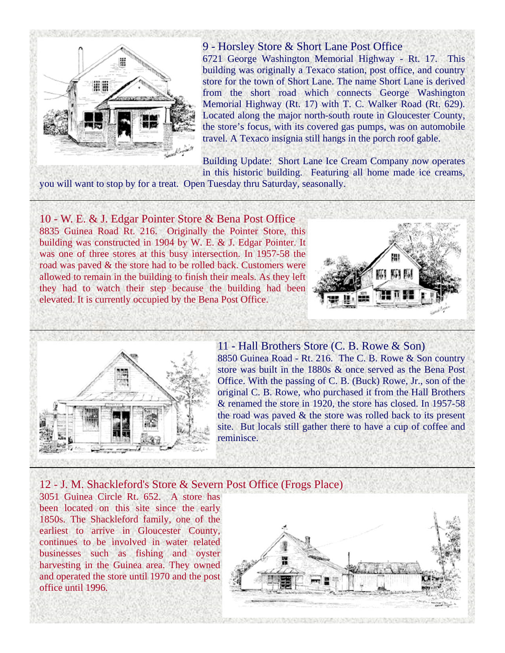

#### 9 - Horsley Store & Short Lane Post Office

6721 George Washington Memorial Highway - Rt. 17. This building was originally a Texaco station, post office, and country store for the town of Short Lane. The name Short Lane is derived from the short road which connects George Washington Memorial Highway (Rt. 17) with T. C. Walker Road (Rt. 629). Located along the major north-south route in Gloucester County, the store's focus, with its covered gas pumps, was on automobile travel. A Texaco insignia still hangs in the porch roof gable.

Building Update: Short Lane Ice Cream Company now operates in this historic building. Featuring all home made ice creams,

you will want to stop by for a treat. Open Tuesday thru Saturday, seasonally.

10 - W. E. & J. Edgar Pointer Store & Bena Post Office 8835 Guinea Road Rt. 216. Originally the Pointer Store, this building was constructed in 1904 by W. E. & J. Edgar Pointer. It was one of three stores at this busy intersection. In 1957-58 the road was paved & the store had to be rolled back. Customers were allowed to remain in the building to finish their meals. As they left they had to watch their step because the building had been elevated. It is currently occupied by the Bena Post Office.





11 - Hall Brothers Store (C. B. Rowe & Son) 8850 Guinea Road - Rt. 216. The C. B. Rowe & Son country store was built in the 1880s & once served as the Bena Post Office. With the passing of C. B. (Buck) Rowe, Jr., son of the original C. B. Rowe, who purchased it from the Hall Brothers & renamed the store in 1920, the store has closed. In 1957-58 the road was paved & the store was rolled back to its present site. But locals still gather there to have a cup of coffee and reminisce.

## 12 - J. M. Shackleford's Store & Severn Post Office (Frogs Place)

3051 Guinea Circle Rt. 652. A store has been located on this site since the early 1850s. The Shackleford family, one of the earliest to arrive in Gloucester County, continues to be involved in water related businesses such as fishing and oyster harvesting in the Guinea area. They owned and operated the store until 1970 and the post office until 1996.